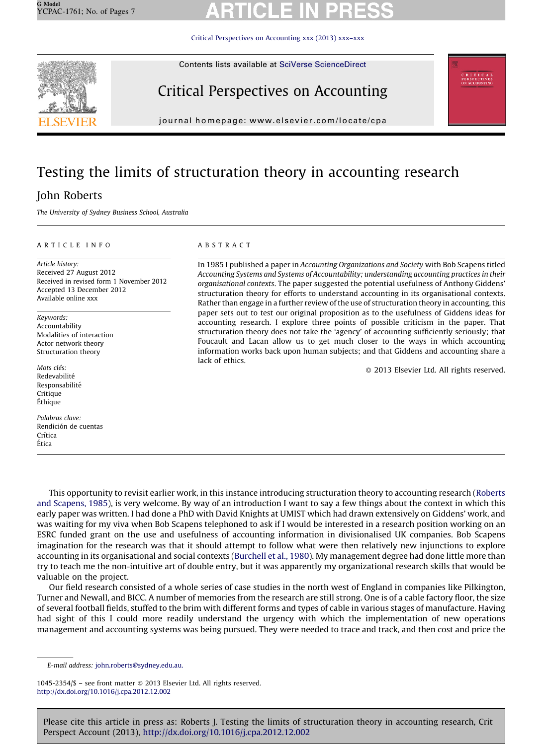Critical [Perspectives](http://dx.doi.org/10.1016/j.cpa.2012.12.002) on Accounting xxx (2013) xxx–xxx



Contents lists available at SciVerse [ScienceDirect](http://www.sciencedirect.com/science/journal/10452354)

# Critical Perspectives on Accounting



journal homepage: www.elsevier.com/locate/cpa

# Testing the limits of structuration theory in accounting research

### John Roberts

The University of Sydney Business School, Australia

#### A R T I C L E I N F O

Article history: Received 27 August 2012 Received in revised form 1 November 2012 Accepted 13 December 2012 Available online xxx

Keywords: Accountability Modalities of interaction Actor network theory Structuration theory

Mots clés. **Redevabilité** Responsabilite´ **Critique Éthique** 

Palabras clave: Rendición de cuentas Crítica Ética

### A B S T R A C T

In 1985 I published a paper in Accounting Organizations and Society with Bob Scapens titled Accounting Systems and Systems of Accountability; understanding accounting practices in their organisational contexts. The paper suggested the potential usefulness of Anthony Giddens' structuration theory for efforts to understand accounting in its organisational contexts. Rather than engage in a further review of the use of structuration theory in accounting, this paper sets out to test our original proposition as to the usefulness of Giddens ideas for accounting research. I explore three points of possible criticism in the paper. That structuration theory does not take the 'agency' of accounting sufficiently seriously; that Foucault and Lacan allow us to get much closer to the ways in which accounting information works back upon human subjects; and that Giddens and accounting share a lack of ethics.

- 2013 Elsevier Ltd. All rights reserved.

This opportunity to revisit earlier work, in this instance introducing structuration theory to accounting research [\(Roberts](#page--1-0) and [Scapens,](#page--1-0) 1985), is very welcome. By way of an introduction I want to say a few things about the context in which this early paper was written. I had done a PhD with David Knights at UMIST which had drawn extensively on Giddens' work, and was waiting for my viva when Bob Scapens telephoned to ask if I would be interested in a research position working on an ESRC funded grant on the use and usefulness of accounting information in divisionalised UK companies. Bob Scapens imagination for the research was that it should attempt to follow what were then relatively new injunctions to explore accounting in its organisational and social contexts [\(Burchell](#page--1-0) et al., 1980). My management degree had done little more than try to teach me the non-intuitive art of double entry, but it was apparently my organizational research skills that would be valuable on the project.

Our field research consisted of a whole series of case studies in the north west of England in companies like Pilkington, Turner and Newall, and BICC. A number of memories from the research are still strong. One is of a cable factory floor, the size of several football fields, stuffed to the brim with different forms and types of cable in various stages of manufacture. Having had sight of this I could more readily understand the urgency with which the implementation of new operations management and accounting systems was being pursued. They were needed to trace and track, and then cost and price the

Please cite this article in press as: Roberts J. Testing the limits of structuration theory in accounting research, Crit Perspect Account (2013), <http://dx.doi.org/10.1016/j.cpa.2012.12.002>

E-mail address: [john.roberts@sydney.edu.au.](mailto:john.roberts@sydney.edu.au)

<sup>1045-2354/\$ –</sup> see front matter © 2013 Elsevier Ltd. All rights reserved. <http://dx.doi.org/10.1016/j.cpa.2012.12.002>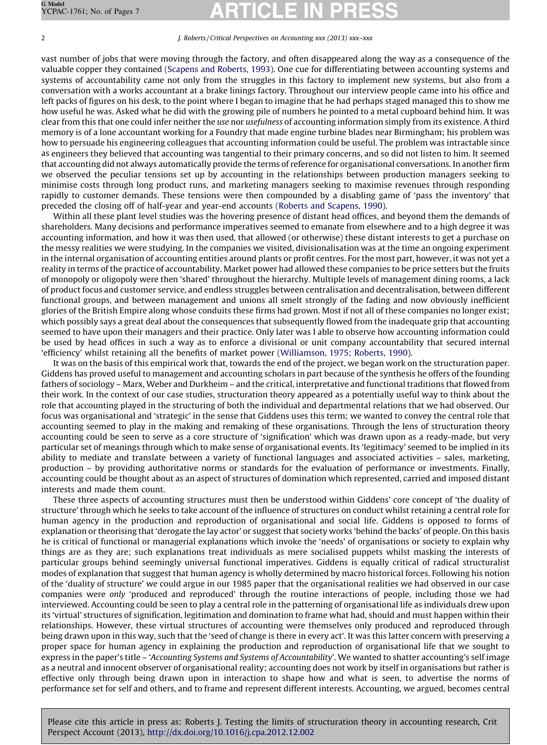### 2 J. Roberts / Critical Perspectives on Accounting xxx (2013) xxx–xxx

vast number of jobs that were moving through the factory, and often disappeared along the way as a consequence of the valuable copper they contained (Scapens and [Roberts,](#page--1-0) 1993). One cue for differentiating between accounting systems and systems of accountability came not only from the struggles in this factory to implement new systems, but also from a conversation with a works accountant at a brake linings factory. Throughout our interview people came into his office and left packs of figures on his desk, to the point where I began to imagine that he had perhaps staged managed this to show me how useful he was. Asked what he did with the growing pile of numbers he pointed to a metal cupboard behind him. It was clear from this that one could infer neither the use nor usefulness of accounting information simply from its existence. A third memory is of a lone accountant working for a Foundry that made engine turbine blades near Birmingham; his problem was how to persuade his engineering colleagues that accounting information could be useful. The problem was intractable since as engineers they believed that accounting was tangential to their primary concerns, and so did not listen to him. It seemed that accounting did not always automatically provide the terms of reference for organisational conversations. In another firm we observed the peculiar tensions set up by accounting in the relationships between production managers seeking to minimise costs through long product runs, and marketing managers seeking to maximise revenues through responding rapidly to customer demands. These tensions were then compounded by a disabling game of 'pass the inventory' that preceded the closing off of half-year and year-end accounts (Roberts and [Scapens,](#page--1-0) 1990).

Within all these plant level studies was the hovering presence of distant head offices, and beyond them the demands of shareholders. Many decisions and performance imperatives seemed to emanate from elsewhere and to a high degree it was accounting information, and how it was then used, that allowed (or otherwise) these distant interests to get a purchase on the messy realities we were studying. In the companies we visited, divisionalisation was at the time an ongoing experiment in the internal organisation of accounting entities around plants or profit centres. For the most part, however, it was not yet a reality in terms of the practice of accountability. Market power had allowed these companies to be price setters but the fruits of monopoly or oligopoly were then 'shared' throughout the hierarchy. Multiple levels of management dining rooms, a lack of product focus and customer service, and endless struggles between centralisation and decentralisation, between different functional groups, and between management and unions all smelt strongly of the fading and now obviously inefficient glories of the British Empire along whose conduits these firms had grown. Most if not all of these companies no longer exist; which possibly says a great deal about the consequences that subsequently flowed from the inadequate grip that accounting seemed to have upon their managers and their practice. Only later was I able to observe how accounting information could be used by head offices in such a way as to enforce a divisional or unit company accountability that secured internal 'efficiency' whilst retaining all the benefits of market power [\(Williamson,](#page--1-0) 1975; Roberts, 1990).

It was on the basis of this empirical work that, towards the end of the project, we began work on the structuration paper. Giddens has proved useful to management and accounting scholars in part because of the synthesis he offers of the founding fathers of sociology – Marx, Weber and Durkheim – and the critical, interpretative and functional traditions that flowed from their work. In the context of our case studies, structuration theory appeared as a potentially useful way to think about the role that accounting played in the structuring of both the individual and departmental relations that we had observed. Our focus was organisational and 'strategic' in the sense that Giddens uses this term; we wanted to convey the central role that accounting seemed to play in the making and remaking of these organisations. Through the lens of structuration theory accounting could be seen to serve as a core structure of 'signification' which was drawn upon as a ready-made, but very particular set of meanings through which to make sense of organisational events. Its 'legitimacy' seemed to be implied in its ability to mediate and translate between a variety of functional languages and associated activities – sales, marketing, production – by providing authoritative norms or standards for the evaluation of performance or investments. Finally, accounting could be thought about as an aspect of structures of domination which represented, carried and imposed distant interests and made them count.

These three aspects of accounting structures must then be understood within Giddens' core concept of 'the duality of structure' through which he seeks to take account of the influence of structures on conduct whilst retaining a central role for human agency in the production and reproduction of organisational and social life. Giddens is opposed to forms of explanation or theorising that 'derogate the lay actor' or suggest that society works 'behind the backs' of people. On this basis he is critical of functional or managerial explanations which invoke the 'needs' of organisations or society to explain why things are as they are; such explanations treat individuals as mere socialised puppets whilst masking the interests of particular groups behind seemingly universal functional imperatives. Giddens is equally critical of radical structuralist modes of explanation that suggest that human agency is wholly determined by macro historical forces. Following his notion of the 'duality of structure' we could argue in our 1985 paper that the organisational realities we had observed in our case companies were only 'produced and reproduced' through the routine interactions of people, including those we had interviewed. Accounting could be seen to play a central role in the patterning of organisational life as individuals drew upon its 'virtual' structures of signification, legitimation and domination to frame what had, should and must happen within their relationships. However, these virtual structures of accounting were themselves only produced and reproduced through being drawn upon in this way, such that the 'seed of change is there in every act'. It was this latter concern with preserving a proper space for human agency in explaining the production and reproduction of organisational life that we sought to express in the paper's title – 'Accounting Systems and Systems of Accountability'. We wanted to shatter accounting's self image as a neutral and innocent observer of organisational reality; accounting does not work by itself in organisations but rather is effective only through being drawn upon in interaction to shape how and what is seen, to advertise the norms of performance set for self and others, and to frame and represent different interests. Accounting, we argued, becomes central

Please cite this article in press as: Roberts J. Testing the limits of structuration theory in accounting research, Crit Perspect Account (2013), <http://dx.doi.org/10.1016/j.cpa.2012.12.002>